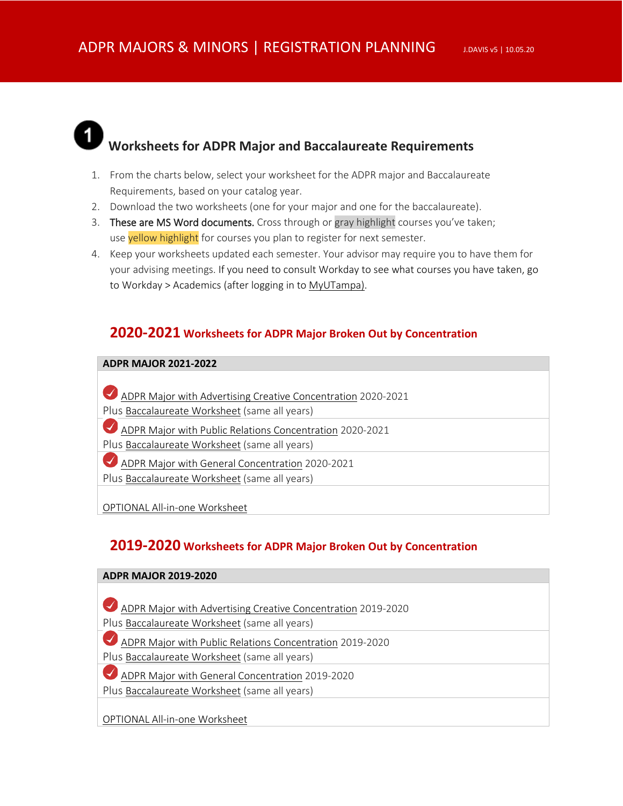

### **Worksheets for ADPR Major and Baccalaureate Requirements**

- 1. From the charts below, select your worksheet for the ADPR major and Baccalaureate Requirements, based on your catalog year.
- 2. Download the two worksheets (one for your major and one for the baccalaureate).
- 3. These are MS Word documents. Cross through or gray highlight courses you've taken; use yellow highlight for courses you plan to register for next semester.
- 4. Keep your worksheets updated each semester. Your advisor may require you to have them for your advising meetings. If you need to consult Workday to see what courses you have taken, go to Workday > Academics (after logging in t[o MyUTampa\)](https://utampa.okta.com/).

#### **2020-2021 Worksheets for ADPR Major Broken Out by Concentration**

#### **ADPR MAJOR 2021-2022**

- [ADPR Major with Advertising Creative Concentration](http://www.julietdavis.com/advising/ADVconcentration2020-2021.docx) 2020-2021
- Plus [Baccalaureate Worksheet](http://www.julietdavis.com/advising/baccalaureateworksheet.docx) (same all years)
- [ADPR Major with Public Relations Concentration](http://www.julietdavis.com/advising/PRconcentration2020-2021.docx) 2020-2021
- Plus [Baccalaureate Worksheet](http://www.julietdavis.com/advising/baccalaureateworksheet.docx) (same all years)
- [ADPR Major with General Concentration](http://www.julietdavis.com/advising/Generalconcentration2020-2021.docx) 2020-2021
- Plus [Baccalaureate Worksheet](http://www.julietdavis.com/advising/baccalaureateworksheet.docx) (same all years)

[OPTIONAL All-in-one Worksheet](http://www.julietdavis.com/advising/ADPRworksheet2020-2021.docx)

#### **2019-2020 Worksheets for ADPR Major Broken Out by Concentration**

| <b>ADPR MAJOR 2019-2020</b>                                  |  |  |
|--------------------------------------------------------------|--|--|
|                                                              |  |  |
| ADPR Major with Advertising Creative Concentration 2019-2020 |  |  |
|                                                              |  |  |
| Plus Baccalaureate Worksheet (same all years)                |  |  |
| ADPR Major with Public Relations Concentration 2019-2020     |  |  |
| Plus Baccalaureate Worksheet (same all years)                |  |  |
| ADPR Major with General Concentration 2019-2020              |  |  |
| Plus Baccalaureate Worksheet (same all years)                |  |  |
|                                                              |  |  |
| <b>OPTIONAL All-in-one Worksheet</b>                         |  |  |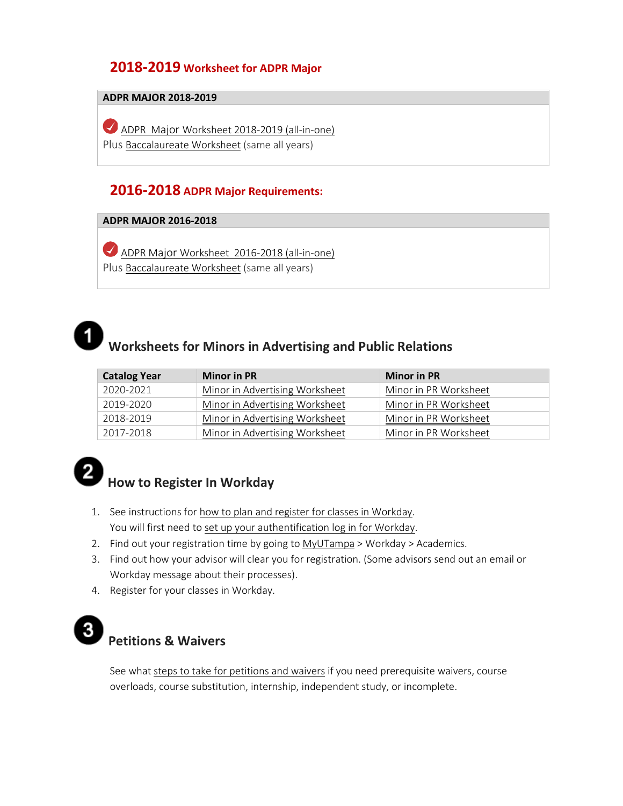### **2018-2019 Worksheet for ADPR Major**

#### **ADPR MAJOR 2018-2019**

[ADPR Major Worksheet 2018-2019](http://www.julietdavis.com/advising/ADPRworksheet2018-2019.docx) (all-in-one) Plus [Baccalaureate Worksheet](http://www.julietdavis.com/advising/baccalaureateworksheet.docx) (same all years)

#### **2016-2018 ADPR Major Requirements:**

#### **ADPR MAJOR 2016-2018**

[ADPR Major Worksheet 2016-2018](http://www.julietdavis.com/advising/ADPRworksheet2016-2017.docx) (all-in-one) Plus [Baccalaureate Worksheet](http://www.julietdavis.com/advising/baccalaureateworksheet.docx) (same all years)

# $\mathbf 1$

### **Worksheets for Minors in Advertising and Public Relations**

| <b>Catalog Year</b> | <b>Minor in PR</b>             | <b>Minor in PR</b>    |
|---------------------|--------------------------------|-----------------------|
| 2020-2021           | Minor in Advertising Worksheet | Minor in PR Worksheet |
| 2019-2020           | Minor in Advertising Worksheet | Minor in PR Worksheet |
| 2018-2019           | Minor in Advertising Worksheet | Minor in PR Worksheet |
| 2017-2018           | Minor in Advertising Worksheet | Minor in PR Worksheet |

### **How to Register In Workday**

- 1. See instructions for [how to plan and register for classes in Workday.](https://servicedesk.ut.edu/solutions/877073-how-do-i-register-in-workday?sso_token=ea76ab98c62a8044318702dd766897f14e482315)  You will first need to [set up your authentification log in](https://servicedesk.ut.edu/solutions/840866-setting-up-multifactor-authentication-for-workday?sso_token=9bb5460848f8aefc1ecdd0d454fd43303611180a) for Workday.
- 2. Find out your registration time by going t[o MyUTampa](https://utampa.okta.com/) > Workday > Academics.
- 3. Find out how your advisor will clear you for registration. (Some advisors send out an email or Workday message about their processes).
- 4. Register for your classes in Workday.

### **Petitions & Waivers**

See what [steps to take for petitions and waivers](https://www.adprmajor.com/petitions-for-waivers-and-courses) if you need prerequisite waivers, course overloads, course substitution, internship, independent study, or incomplete.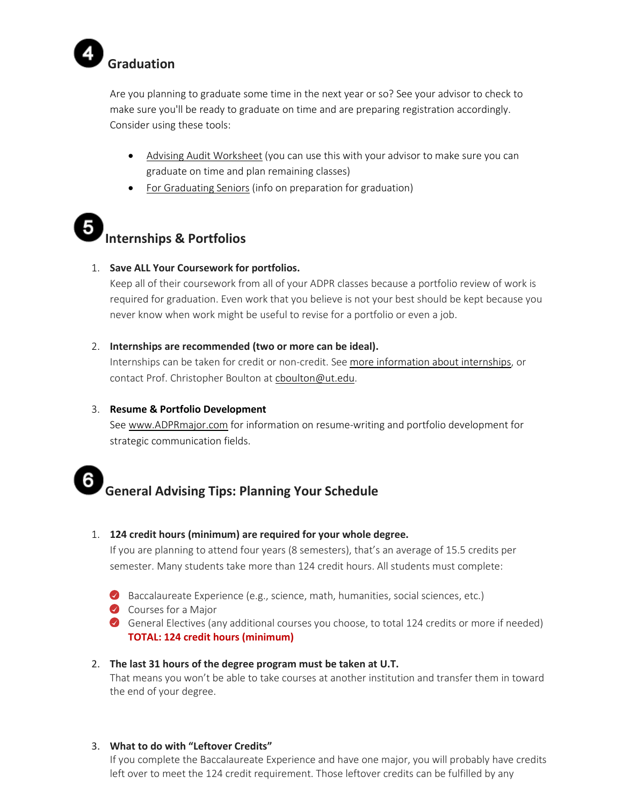

Are you planning to graduate some time in the next year or so? See your advisor to check to make sure you'll be ready to graduate on time and are preparing registration accordingly. Consider using these tools:

- Advising Audi[t Worksheet](http://www.julietdavis.com/advising/advisingworksheet.docx) (you can use this with your advisor to make sure you can graduate on time and plan remaining classes)
- For [Graduating](https://www.adprmajor.com/for-graduating-seniors) Seniors (info on preparation for graduation)

# **Internships & Portfolios**

#### 1. **Save ALL Your Coursework for portfolios.**

Keep all of their coursework from all of your ADPR classes because a portfolio review of work is required for graduation. Even work that you believe is not your best should be kept because you never know when work might be useful to revise for a portfolio or even a job.

#### 2. **Internships are recommended (two or more can be ideal).**

Internships can be taken for credit or non-credit. See [more information about internships,](https://www.ut.edu/academics/college-of-arts-and-letters/communication-degrees/communication-internships) or contact Prof. Christopher Boulton a[t cboulton@ut.edu.](mailto:cboulton@ut.edu)

#### 3. **Resume & Portfolio Development**

See [www.ADPRmajor.com](http://www.adprmajor.com/) for information on resume-writing and portfolio development for strategic communication fields.

#### 6 **General Advising Tips: Planning Your Schedule**

#### 1. **124 credit hours (minimum) are required for your whole degree.**

If you are planning to attend four years (8 semesters), that's an average of 15.5 credits per semester. Many students take more than 124 credit hours. All students must complete:

- Baccalaureate Experience (e.g., science, math, humanities, social sciences, etc.)
- Courses for a Major
- General Electives (any additional courses you choose, to total 124 credits or more if needed) **TOTAL: 124 credit hours (minimum)**

#### 2. **The last 31 hours of the degree program must be taken at U.T.**

That means you won't be able to take courses at another institution and transfer them in toward the end of your degree.

#### 3. **What to do with "Leftover Credits"**

If you complete the Baccalaureate Experience and have one major, you will probably have credits left over to meet the 124 credit requirement. Those leftover credits can be fulfilled by any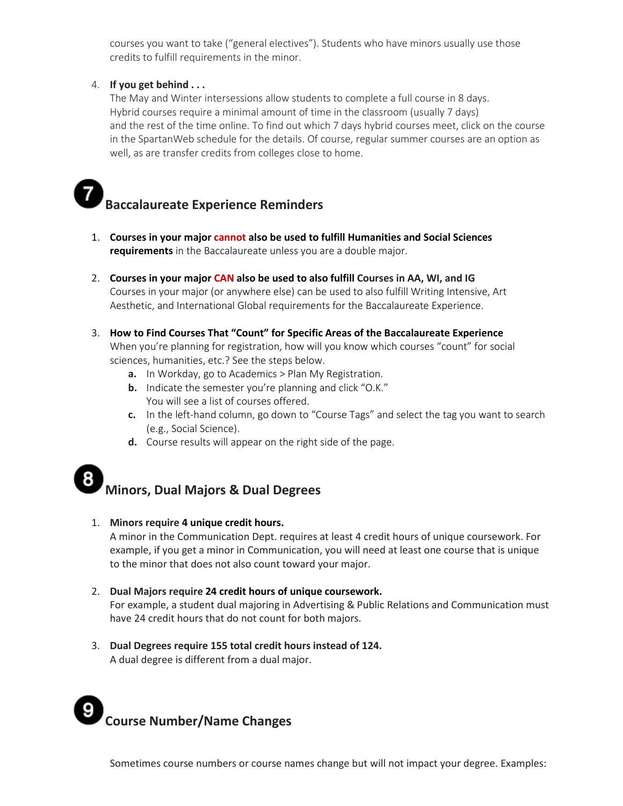courses you want to take ("general electives"). Students who have minors usually use those credits to fulfill requirements in the minor.

#### 4. **If you get behind . . .**

The May and Winter intersessions allow students to complete a full course in 8 days. Hybrid courses require a minimal amount of time in the classroom (usually 7 days) and the rest of the time online. To find out which 7 days hybrid courses meet, click on the course in the SpartanWeb schedule for the details. Of course, regular summer courses are an option as well, as are transfer credits from colleges close to home.

### **Baccalaureate Experience Reminders**

- 1. **Courses in your major cannot also be used to fulfill Humanities and Social Sciences requirements** in the Baccalaureate unless you are a double major.
- 2. **Courses in your major CAN also be used to also fulfill Courses in AA, WI, and IG** Courses in your major (or anywhere else) can be used to also fulfill Writing Intensive, Art Aesthetic, and International Global requirements for the Baccalaureate Experience.
- 3. **How to Find Courses That "Count" for Specific Areas of the Baccalaureate Experience** When you're planning for registration, how will you know which courses "count" for social sciences, humanities, etc.? See the steps below.
	- **a.** In Workday, go to Academics > Plan My Registration.
	- **b.** Indicate the semester you're planning and click "O.K." You will see a list of courses offered.
	- **c.** In the left-hand column, go down to "Course Tags" and select the tag you want to search (e.g., Social Science).
	- **d.** Course results will appear on the right side of the page.

## **Minors, Dual Majors & Dual Degrees**

#### 1. **Minors require 4 unique credit hours.**

A minor in the Communication Dept. requires at least 4 credit hours of unique coursework. For example, if you get a minor in Communication, you will need at least one course that is unique to the minor that does not also count toward your major.

#### 2. **Dual Majors require 24 credit hours of unique coursework.**

For example, a student dual majoring in Advertising & Public Relations and Communication must have 24 credit hours that do not count for both majors.

3. **Dual Degrees require 155 total credit hours instead of 124.**  A dual degree is different from a dual major.

# **Course Number/Name Changes**